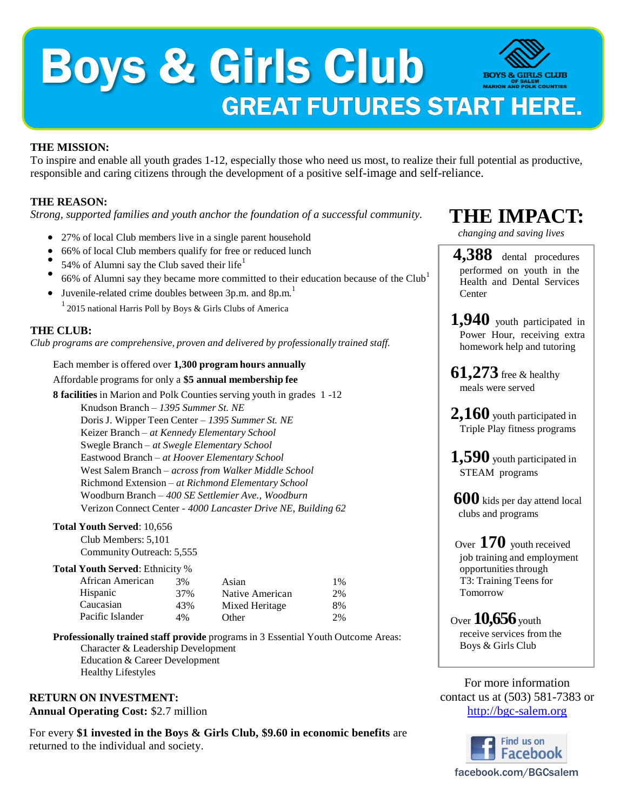# Boys & Girls Club BOYS & GREAT FUTURES START HERE. **BOYS & GIRLS CLUB**

#### **THE MISSION:**

To inspire and enable all youth grades 1-12, especially those who need us most, to realize their full potential as productive, responsible and caring citizens through the development of a positive self-image and self-reliance.

#### **THE REASON:**

*Strong, supported families and youth anchor the foundation of a successful community.*

- 27% of local Club members live in a single parent household
- 66% of local Club members qualify for free or reduced lunch
- $\bullet$ 54% of Alumni say the Club saved their life $<sup>1</sup>$ </sup>
- $\bullet$ 66% of Alumni say they became more committed to their education because of the Club<sup>1</sup>
- Juvenile-related crime doubles between  $3p$ .m. and  $8p$ .m.<sup>1</sup>  $1$  2015 national Harris Poll by Boys & Girls Clubs of America

#### **THE CLUB:**

*Club programs are comprehensive, proven and delivered by professionally trained staff.*

Each member is offered over **1,300 program hours annually**

Affordable programs for only a **\$5 annual membership fee**

**8 facilities** in Marion and Polk Counties serving youth in grades 1 -12 Knudson Branch – *1395 Summer St. NE* Doris J. Wipper Teen Center – *1395 Summer St. NE*  Keizer Branch – *at Kennedy Elementary School*  Swegle Branch – *at Swegle Elementary School*  Eastwood Branch – *at Hoover Elementary School* West Salem Branch – *across from Walker Middle School*  Richmond Extension – *at Richmond Elementary School*  Woodburn Branch *– 400 SE Settlemier Ave., Woodburn* Verizon Connect Center *- 4000 Lancaster Drive NE, Building 62*

**Total Youth Served**: 10,656

Club Members: 5,101 Community Outreach: 5,555

**Total Youth Served**: Ethnicity %

| African American | 3%  | Asian           | $1\%$ |
|------------------|-----|-----------------|-------|
| Hispanic         | 37% | Native American | 2%    |
| Caucasian        | 43% | Mixed Heritage  | 8%    |
| Pacific Islander | 4%  | Other           | 2%    |

**Professionally trained staff provide** programs in 3 Essential Youth Outcome Areas: Character & Leadership Development Education & Career Development Healthy Lifestyles

#### **RETURN ON INVESTMENT: Annual Operating Cost:** \$2.7 million

For every **\$1 invested in the Boys & Girls Club, \$9.60 in economic benefits** are returned to the individual and society.

### **THE IMPACT:**

*changing and saving lives*

**4,388** dental procedures performed on youth in the Health and Dental Services **Center** 

**1,940** youth participated in Power Hour, receiving extra homework help and tutoring

**61,273** free & healthy meals were served

**2,160** youth participated in Triple Play fitness programs

**1,590** youth participated in STEAM programs

**600** kids per day attend local clubs and programs

Over **170** youth received job training and employment opportunities through T3: Training Teens for Tomorrow

Over **10,656**youth receive services from the Boys & Girls Club

For more information contact us at (503) 581-7383 or [http://bgc-salem.org](http://bgc-salem.org/)